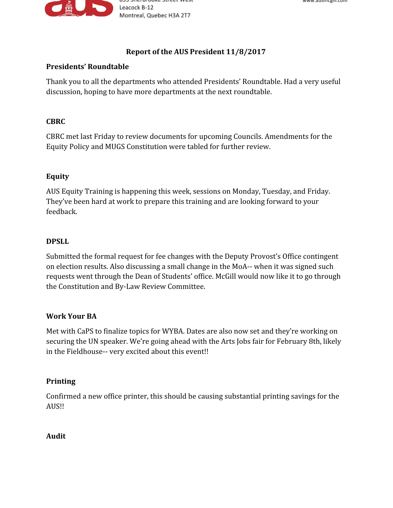

# **Report of the AUS President 11/8/2017**

## **Presidents' Roundtable**

Thank you to all the departments who attended Presidents' Roundtable. Had a very useful discussion, hoping to have more departments at the next roundtable.

# **CBRC**

CBRC met last Friday to review documents for upcoming Councils. Amendments for the Equity Policy and MUGS Constitution were tabled for further review.

### **Equity**

AUS Equity Training is happening this week, sessions on Monday, Tuesday, and Friday. They've been hard at work to prepare this training and are looking forward to your feedback.

#### **DPSLL**

Submitted the formal request for fee changes with the Deputy Provost's Office contingent on election results. Also discussing a small change in the MoA-- when it was signed such requests went through the Dean of Students' office. McGill would now like it to go through the Constitution and By-Law Review Committee.

### **Work Your BA**

Met with CaPS to finalize topics for WYBA. Dates are also now set and they're working on securing the UN speaker. We're going ahead with the Arts Jobs fair for February 8th, likely in the Fieldhouse-- very excited about this event!!

### **Printing**

Confirmed a new office printer, this should be causing substantial printing savings for the AUS!!

### **Audit**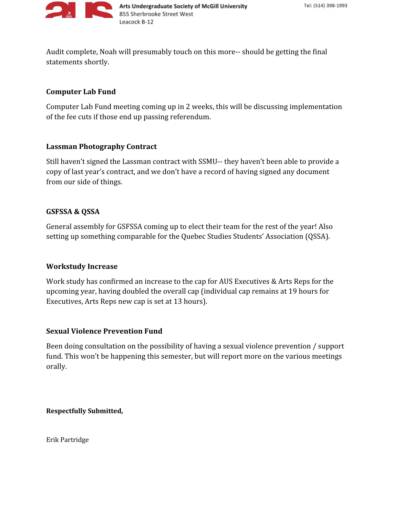

Audit complete, Noah will presumably touch on this more-- should be getting the final statements shortly.

### **Computer Lab Fund**

Computer Lab Fund meeting coming up in 2 weeks, this will be discussing implementation of the fee cuts if those end up passing referendum.

### **Lassman Photography Contract**

Still haven't signed the Lassman contract with SSMU-- they haven't been able to provide a copy of last year's contract, and we don't have a record of having signed any document from our side of things.

### **GSFSSA & QSSA**

General assembly for GSFSSA coming up to elect their team for the rest of the year! Also setting up something comparable for the Quebec Studies Students' Association (QSSA).

### **Workstudy Increase**

Work study has confirmed an increase to the cap for AUS Executives & Arts Reps for the upcoming year, having doubled the overall cap (individual cap remains at 19 hours for Executives, Arts Reps new cap is set at 13 hours).

### **Sexual Violence Prevention Fund**

Been doing consultation on the possibility of having a sexual violence prevention / support fund. This won't be happening this semester, but will report more on the various meetings orally.

**Respectfully Submitted,**

Erik Partridge